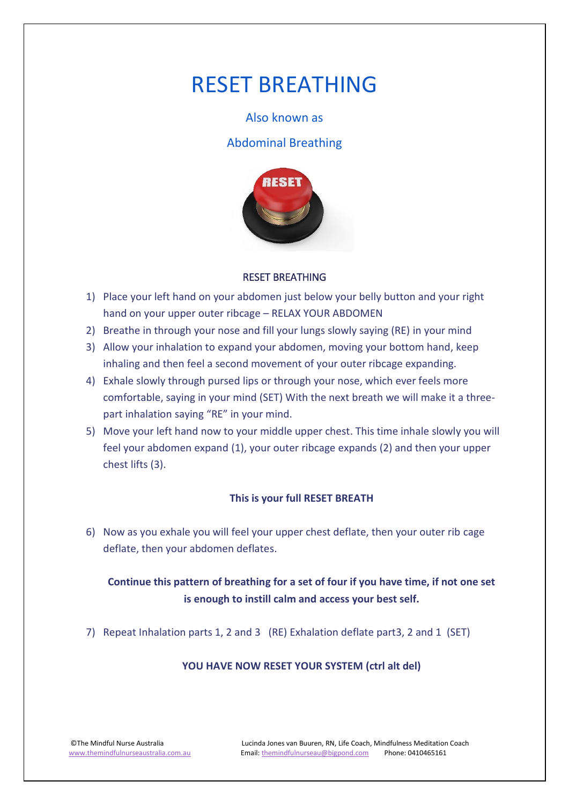# RESET BREATHING

#### Also known as

### Abdominal Breathing



#### RESET BREATHING

- 1) Place your left hand on your abdomen just below your belly button and your right hand on your upper outer ribcage – RELAX YOUR ABDOMEN
- 2) Breathe in through your nose and fill your lungs slowly saying (RE) in your mind
- 3) Allow your inhalation to expand your abdomen, moving your bottom hand, keep inhaling and then feel a second movement of your outer ribcage expanding.
- 4) Exhale slowly through pursed lips or through your nose, which ever feels more comfortable, saying in your mind (SET) With the next breath we will make it a threepart inhalation saying "RE" in your mind.
- 5) Move your left hand now to your middle upper chest. This time inhale slowly you will feel your abdomen expand (1), your outer ribcage expands (2) and then your upper chest lifts (3).

#### **This is your full RESET BREATH**

6) Now as you exhale you will feel your upper chest deflate, then your outer rib cage deflate, then your abdomen deflates.

# **Continue this pattern of breathing for a set of four if you have time, if not one set is enough to instill calm and access your best self.**

7) Repeat Inhalation parts 1, 2 and 3 (RE) Exhalation deflate part3, 2 and 1 (SET)

#### **YOU HAVE NOW RESET YOUR SYSTEM (ctrl alt del)**